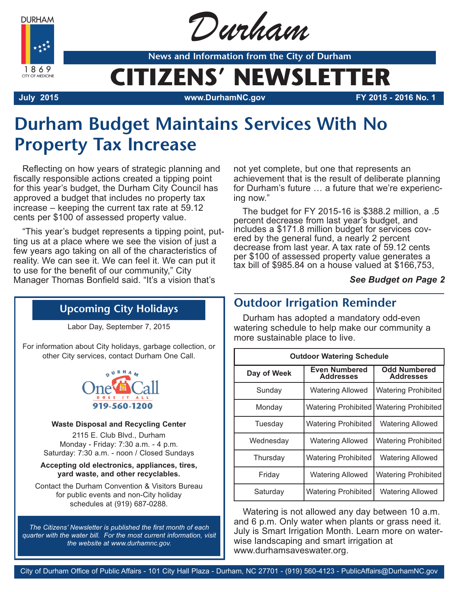**DURHAM** 



Durham

**News and Information from the City of Durham**

## **CITIZENS' NEWSLETTER**

**July 2015 www.DurhamNC.gov FY 2015 - 2016 No. 1**

## **Durham Budget Maintains Services With No Property Tax Increase**

Reflecting on how years of strategic planning and fiscally responsible actions created a tipping point for this year's budget, the Durham City Council has approved a budget that includes no property tax increase – keeping the current tax rate at 59.12 cents per \$100 of assessed property value.

"This year's budget represents a tipping point, putting us at a place where we see the vision of just a few years ago taking on all of the characteristics of reality. We can see it. We can feel it. We can put it to use for the benefit of our community," City Manager Thomas Bonfield said. "It's a vision that's

not yet complete, but one that represents an achievement that is the result of deliberate planning for Durham's future … a future that we're experiencing now."

The budget for FY 2015-16 is \$388.2 million, a .5 percent decrease from last year's budget, and includes a \$171.8 million budget for services covered by the general fund, a nearly 2 percent decrease from last year. A tax rate of 59.12 cents per \$100 of assessed property value generates a tax bill of \$985.84 on a house valued at \$166,753,

#### *See Budget on Page 2*

### **Upcoming City Holidays**

Labor Day, September 7, 2015

For information about City holidays, garbage collection, or other City services, contact Durham One Call.



#### **Waste Disposal and Recycling Center**

2115 E. Club Blvd., Durham Monday - Friday: 7:30 a.m. - 4 p.m. Saturday: 7:30 a.m. - noon / Closed Sundays

**Accepting old electronics, appliances, tires, yard waste, and other recyclables.**

Contact the Durham Convention & Visitors Bureau for public events and non-City holiday schedules at (919) 687-0288.

*The Citizens' Newsletter is published the first month of each quarter with the water bill. For the most current information, visit the website at www.durhamnc.gov.*

## **Outdoor Irrigation Reminder**

Durham has adopted a mandatory odd-even watering schedule to help make our community a more sustainable place to live.

| <b>Outdoor Watering Schedule</b> |                                          |                                         |
|----------------------------------|------------------------------------------|-----------------------------------------|
| Day of Week                      | <b>Even Numbered</b><br><b>Addresses</b> | <b>Odd Numbered</b><br><b>Addresses</b> |
| Sunday                           | <b>Watering Allowed</b>                  | <b>Watering Prohibited</b>              |
| Monday                           | <b>Watering Prohibited</b>               | <b>Watering Prohibited</b>              |
| Tuesdav                          | <b>Watering Prohibited</b>               | <b>Watering Allowed</b>                 |
| Wednesday                        | <b>Watering Allowed</b>                  | <b>Watering Prohibited</b>              |
| Thursday                         | Watering Prohibited                      | <b>Watering Allowed</b>                 |
| Friday                           | <b>Watering Allowed</b>                  | <b>Watering Prohibited</b>              |
| Saturday                         | <b>Watering Prohibited</b>               | <b>Watering Allowed</b>                 |

Watering is not allowed any day between 10 a.m. and 6 p.m. Only water when plants or grass need it. July is Smart Irrigation Month. Learn more on waterwise landscaping and smart irrigation at www.durhamsaveswater.org.